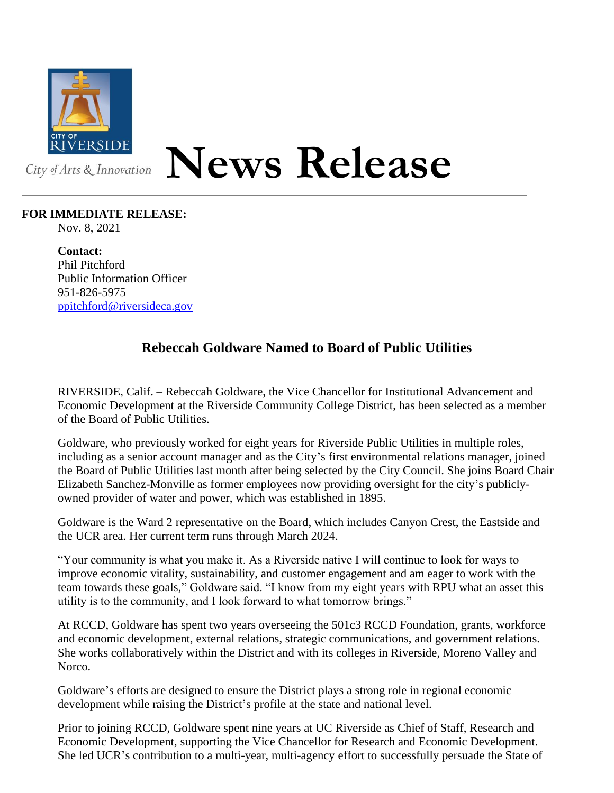

## **News Release**

## **FOR IMMEDIATE RELEASE:**

Nov. 8, 2021

**Contact:** Phil Pitchford Public Information Officer 951-826-5975 [ppitchford@riversideca.gov](mailto:ppitchford@riversideca.gov)

## **Rebeccah Goldware Named to Board of Public Utilities**

RIVERSIDE, Calif. – Rebeccah Goldware, the Vice Chancellor for Institutional Advancement and Economic Development at the Riverside Community College District, has been selected as a member of the Board of Public Utilities.

Goldware, who previously worked for eight years for Riverside Public Utilities in multiple roles, including as a senior account manager and as the City's first environmental relations manager, joined the Board of Public Utilities last month after being selected by the City Council. She joins Board Chair Elizabeth Sanchez-Monville as former employees now providing oversight for the city's publiclyowned provider of water and power, which was established in 1895.

Goldware is the Ward 2 representative on the Board, which includes Canyon Crest, the Eastside and the UCR area. Her current term runs through March 2024.

"Your community is what you make it. As a Riverside native I will continue to look for ways to improve economic vitality, sustainability, and customer engagement and am eager to work with the team towards these goals," Goldware said. "I know from my eight years with RPU what an asset this utility is to the community, and I look forward to what tomorrow brings."

At RCCD, Goldware has spent two years overseeing the 501c3 RCCD Foundation, grants, workforce and economic development, external relations, strategic communications, and government relations. She works collaboratively within the District and with its colleges in Riverside, Moreno Valley and Norco.

Goldware's efforts are designed to ensure the District plays a strong role in regional economic development while raising the District's profile at the state and national level.

Prior to joining RCCD, Goldware spent nine years at UC Riverside as Chief of Staff, Research and Economic Development, supporting the Vice Chancellor for Research and Economic Development. She led UCR's contribution to a multi-year, multi-agency effort to successfully persuade the State of